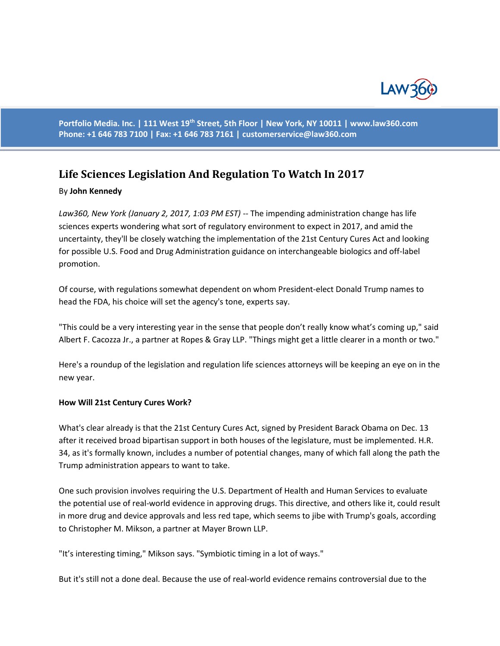

**Portfolio Media. Inc. | 111 West 19th Street, 5th Floor | New York, NY 10011 | www.law360.com Phone: +1 646 783 7100 | Fax: +1 646 783 7161 | [customerservice@law360.com](mailto:customerservice@law360.com)**

# **Life Sciences Legislation And Regulation To Watch In 2017**

#### By **John Kennedy**

*Law360, New York (January 2, 2017, 1:03 PM EST)* -- The impending administration change has life sciences experts wondering what sort of regulatory environment to expect in 2017, and amid the uncertainty, they'll be closely watching the implementation of the 21st Century Cures Act and looking for possible U.S. Food and Drug Administration guidance on interchangeable biologics and off-label promotion.

Of course, with regulations somewhat dependent on whom President-elect Donald Trump names to head the FDA, his choice will set the agency's tone, experts say.

"This could be a very interesting year in the sense that people don't really know what's coming up," said Albert F. Cacozza Jr., a partner at Ropes & Gray LLP. "Things might get a little clearer in a month or two."

Here's a roundup of the legislation and regulation life sciences attorneys will be keeping an eye on in the new year.

#### **How Will 21st Century Cures Work?**

What's clear already is that the 21st Century Cures Act, signed by President Barack Obama on Dec. 13 after it received broad bipartisan support in both houses of the legislature, must be implemented. H.R. 34, as it's formally known, includes a number of potential changes, many of which fall along the path the Trump administration appears to want to take.

One such provision involves requiring the U.S. Department of Health and Human Services to evaluate the potential use of real-world evidence in approving drugs. This directive, and others like it, could result in more drug and device approvals and less red tape, which seems to jibe with Trump's goals, according to Christopher M. Mikson, a partner at Mayer Brown LLP.

"It's interesting timing," Mikson says. "Symbiotic timing in a lot of ways."

But it's still not a done deal. Because the use of real-world evidence remains controversial due to the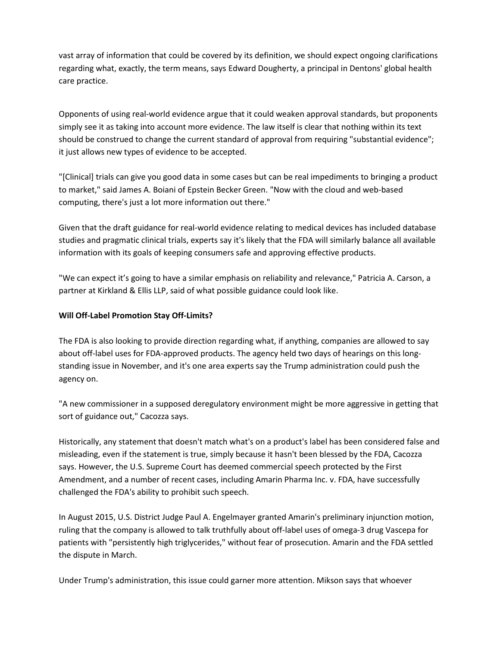vast array of information that could be covered by its definition, we should expect ongoing clarifications regarding what, exactly, the term means, says Edward Dougherty, a principal in Dentons' global health care practice.

Opponents of using real-world evidence argue that it could weaken approval standards, but proponents simply see it as taking into account more evidence. The law itself is clear that nothing within its text should be construed to change the current standard of approval from requiring "substantial evidence"; it just allows new types of evidence to be accepted.

"[Clinical] trials can give you good data in some cases but can be real impediments to bringing a product to market," said James A. Boiani of Epstein Becker Green. "Now with the cloud and web-based computing, there's just a lot more information out there."

Given that the draft guidance for real-world evidence relating to medical devices has included database studies and pragmatic clinical trials, experts say it's likely that the FDA will similarly balance all available information with its goals of keeping consumers safe and approving effective products.

"We can expect it's going to have a similar emphasis on reliability and relevance," Patricia A. Carson, a partner at Kirkland & Ellis LLP, said of what possible guidance could look like.

## **Will Off-Label Promotion Stay Off-Limits?**

The FDA is also looking to provide direction regarding what, if anything, companies are allowed to say about off-label uses for FDA-approved products. The agency held two days of hearings on this longstanding issue in November, and it's one area experts say the Trump administration could push the agency on.

"A new commissioner in a supposed deregulatory environment might be more aggressive in getting that sort of guidance out," Cacozza says.

Historically, any statement that doesn't match what's on a product's label has been considered false and misleading, even if the statement is true, simply because it hasn't been blessed by the FDA, Cacozza says. However, the U.S. Supreme Court has deemed commercial speech protected by the First Amendment, and a number of recent cases, including Amarin Pharma Inc. v. FDA, have successfully challenged the FDA's ability to prohibit such speech.

In August 2015, U.S. District Judge Paul A. Engelmayer granted Amarin's preliminary injunction motion, ruling that the company is allowed to talk truthfully about off-label uses of omega-3 drug Vascepa for patients with "persistently high triglycerides," without fear of prosecution. Amarin and the FDA settled the dispute in March.

Under Trump's administration, this issue could garner more attention. Mikson says that whoever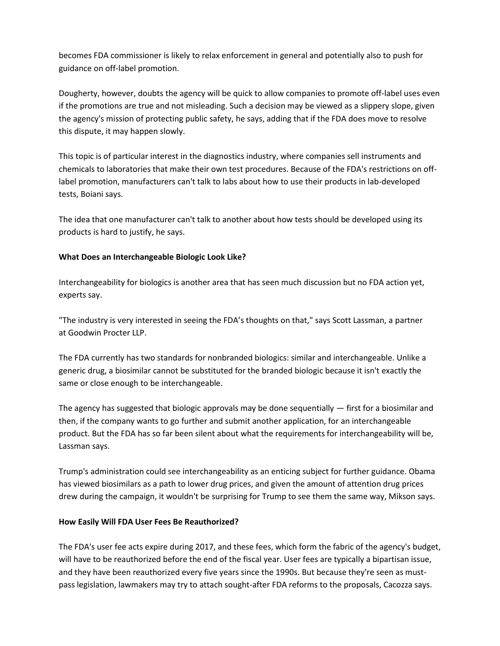becomes FDA commissioner is likely to relax enforcement in general and potentially also to push for guidance on off-label promotion.

Dougherty, however, doubts the agency will be quick to allow companies to promote off-label uses even if the promotions are true and not misleading. Such a decision may be viewed as a slippery slope, given the agency's mission of protecting public safety, he says, adding that if the FDA does move to resolve this dispute, it may happen slowly.

This topic is of particular interest in the diagnostics industry, where companies sell instruments and chemicals to laboratories that make their own test procedures. Because of the FDA's restrictions on offlabel promotion, manufacturers can't talk to labs about how to use their products in lab-developed tests, Boiani says.

The idea that one manufacturer can't talk to another about how tests should be developed using its products is hard to justify, he says.

## **What Does an Interchangeable Biologic Look Like?**

Interchangeability for biologics is another area that has seen much discussion but no FDA action yet, experts say.

"The industry is very interested in seeing the FDA's thoughts on that," says Scott Lassman, a partner at Goodwin Procter LLP.

The FDA currently has two standards for nonbranded biologics: similar and interchangeable. Unlike a generic drug, a biosimilar cannot be substituted for the branded biologic because it isn't exactly the same or close enough to be interchangeable.

The agency has suggested that biologic approvals may be done sequentially  $-$  first for a biosimilar and then, if the company wants to go further and submit another application, for an interchangeable product. But the FDA has so far been silent about what the requirements for interchangeability will be, Lassman says.

Trump's administration could see interchangeability as an enticing subject for further guidance. Obama has viewed biosimilars as a path to lower drug prices, and given the amount of attention drug prices drew during the campaign, it wouldn't be surprising for Trump to see them the same way, Mikson says.

### **How Easily Will FDA User Fees Be Reauthorized?**

The FDA's user fee acts expire during 2017, and these fees, which form the fabric of the agency's budget, will have to be reauthorized before the end of the fiscal year. User fees are typically a bipartisan issue, and they have been reauthorized every five years since the 1990s. But because they're seen as mustpass legislation, lawmakers may try to attach sought-after FDA reforms to the proposals, Cacozza says.